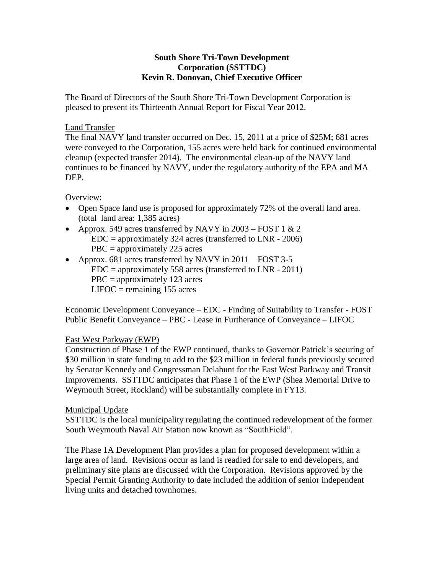### **South Shore Tri-Town Development Corporation (SSTTDC) Kevin R. Donovan, Chief Executive Officer**

The Board of Directors of the South Shore Tri-Town Development Corporation is pleased to present its Thirteenth Annual Report for Fiscal Year 2012.

#### Land Transfer

The final NAVY land transfer occurred on Dec. 15, 2011 at a price of \$25M; 681 acres were conveyed to the Corporation, 155 acres were held back for continued environmental cleanup (expected transfer 2014). The environmental clean-up of the NAVY land continues to be financed by NAVY, under the regulatory authority of the EPA and MA DEP.

Overview:

- Open Space land use is proposed for approximately 72% of the overall land area. (total land area: 1,385 acres)
- Approx. 549 acres transferred by NAVY in  $2003 FOST 1 \& 2$  $EDC = approximately 324$  acres (transferred to  $LNR - 2006$ ) PBC = approximately 225 acres
- Approx. 681 acres transferred by NAVY in 2011 FOST 3-5  $EDC = approximately 558 \, \text{acres}$  (transferred to LNR - 2011) PBC = approximately 123 acres  $LIFOC = remaining 155 acres$

Economic Development Conveyance – EDC - Finding of Suitability to Transfer - FOST Public Benefit Conveyance – PBC - Lease in Furtherance of Conveyance – LIFOC

# East West Parkway (EWP)

Construction of Phase 1 of the EWP continued, thanks to Governor Patrick's securing of \$30 million in state funding to add to the \$23 million in federal funds previously secured by Senator Kennedy and Congressman Delahunt for the East West Parkway and Transit Improvements. SSTTDC anticipates that Phase 1 of the EWP (Shea Memorial Drive to Weymouth Street, Rockland) will be substantially complete in FY13.

# Municipal Update

SSTTDC is the local municipality regulating the continued redevelopment of the former South Weymouth Naval Air Station now known as "SouthField".

The Phase 1A Development Plan provides a plan for proposed development within a large area of land. Revisions occur as land is readied for sale to end developers, and preliminary site plans are discussed with the Corporation. Revisions approved by the Special Permit Granting Authority to date included the addition of senior independent living units and detached townhomes.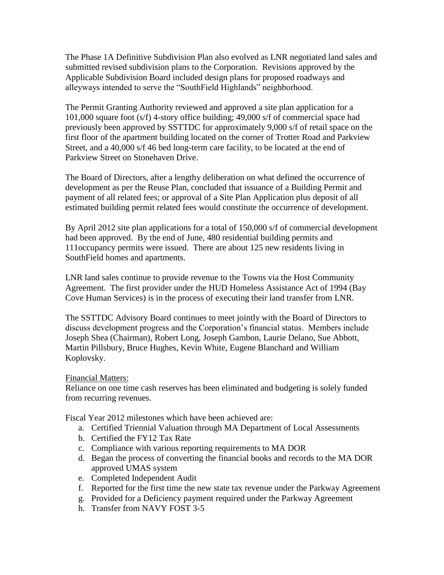The Phase 1A Definitive Subdivision Plan also evolved as LNR negotiated land sales and submitted revised subdivision plans to the Corporation. Revisions approved by the Applicable Subdivision Board included design plans for proposed roadways and alleyways intended to serve the "SouthField Highlands" neighborhood.

The Permit Granting Authority reviewed and approved a site plan application for a 101,000 square foot (s/f) 4-story office building; 49,000 s/f of commercial space had previously been approved by SSTTDC for approximately 9,000 s/f of retail space on the first floor of the apartment building located on the corner of Trotter Road and Parkview Street, and a 40,000 s/f 46 bed long-term care facility, to be located at the end of Parkview Street on Stonehaven Drive.

The Board of Directors, after a lengthy deliberation on what defined the occurrence of development as per the Reuse Plan, concluded that issuance of a Building Permit and payment of all related fees; or approval of a Site Plan Application plus deposit of all estimated building permit related fees would constitute the occurrence of development.

By April 2012 site plan applications for a total of 150,000 s/f of commercial development had been approved. By the end of June, 480 residential building permits and 111occupancy permits were issued. There are about 125 new residents living in SouthField homes and apartments.

LNR land sales continue to provide revenue to the Towns via the Host Community Agreement. The first provider under the HUD Homeless Assistance Act of 1994 (Bay Cove Human Services) is in the process of executing their land transfer from LNR.

The SSTTDC Advisory Board continues to meet jointly with the Board of Directors to discuss development progress and the Corporation's financial status. Members include Joseph Shea (Chairman), Robert Long, Joseph Gambon, Laurie Delano, Sue Abbott, Martin Pillsbury, Bruce Hughes, Kevin White, Eugene Blanchard and William Koplovsky.

#### Financial Matters:

Reliance on one time cash reserves has been eliminated and budgeting is solely funded from recurring revenues.

Fiscal Year 2012 milestones which have been achieved are:

- a. Certified Triennial Valuation through MA Department of Local Assessments
- b. Certified the FY12 Tax Rate
- c. Compliance with various reporting requirements to MA DOR
- d. Began the process of converting the financial books and records to the MA DOR approved UMAS system
- e. Completed Independent Audit
- f. Reported for the first time the new state tax revenue under the Parkway Agreement
- g. Provided for a Deficiency payment required under the Parkway Agreement
- h. Transfer from NAVY FOST 3-5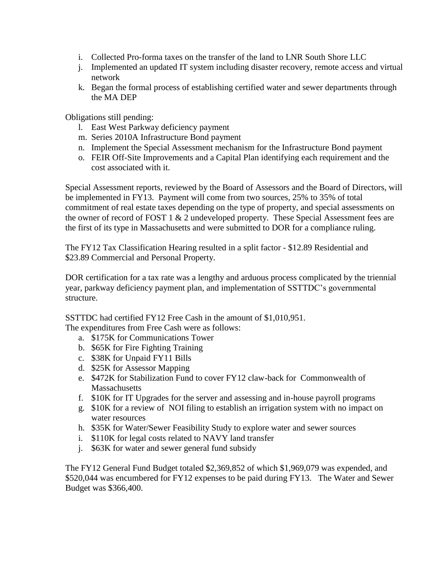- i. Collected Pro-forma taxes on the transfer of the land to LNR South Shore LLC
- j. Implemented an updated IT system including disaster recovery, remote access and virtual network
- k. Began the formal process of establishing certified water and sewer departments through the MA DEP

Obligations still pending:

- l. East West Parkway deficiency payment
- m. Series 2010A Infrastructure Bond payment
- n. Implement the Special Assessment mechanism for the Infrastructure Bond payment
- o. FEIR Off-Site Improvements and a Capital Plan identifying each requirement and the cost associated with it.

Special Assessment reports, reviewed by the Board of Assessors and the Board of Directors, will be implemented in FY13. Payment will come from two sources, 25% to 35% of total commitment of real estate taxes depending on the type of property, and special assessments on the owner of record of FOST 1 & 2 undeveloped property. These Special Assessment fees are the first of its type in Massachusetts and were submitted to DOR for a compliance ruling.

The FY12 Tax Classification Hearing resulted in a split factor - \$12.89 Residential and \$23.89 Commercial and Personal Property.

DOR certification for a tax rate was a lengthy and arduous process complicated by the triennial year, parkway deficiency payment plan, and implementation of SSTTDC's governmental structure.

SSTTDC had certified FY12 Free Cash in the amount of \$1,010,951.

The expenditures from Free Cash were as follows:

- a. \$175K for Communications Tower
- b. \$65K for Fire Fighting Training
- c. \$38K for Unpaid FY11 Bills
- d. \$25K for Assessor Mapping
- e. \$472K for Stabilization Fund to cover FY12 claw-back for Commonwealth of **Massachusetts**
- f. \$10K for IT Upgrades for the server and assessing and in-house payroll programs
- g. \$10K for a review of NOI filing to establish an irrigation system with no impact on water resources
- h. \$35K for Water/Sewer Feasibility Study to explore water and sewer sources
- i. \$110K for legal costs related to NAVY land transfer
- j. \$63K for water and sewer general fund subsidy

The FY12 General Fund Budget totaled \$2,369,852 of which \$1,969,079 was expended, and \$520,044 was encumbered for FY12 expenses to be paid during FY13. The Water and Sewer Budget was \$366,400.